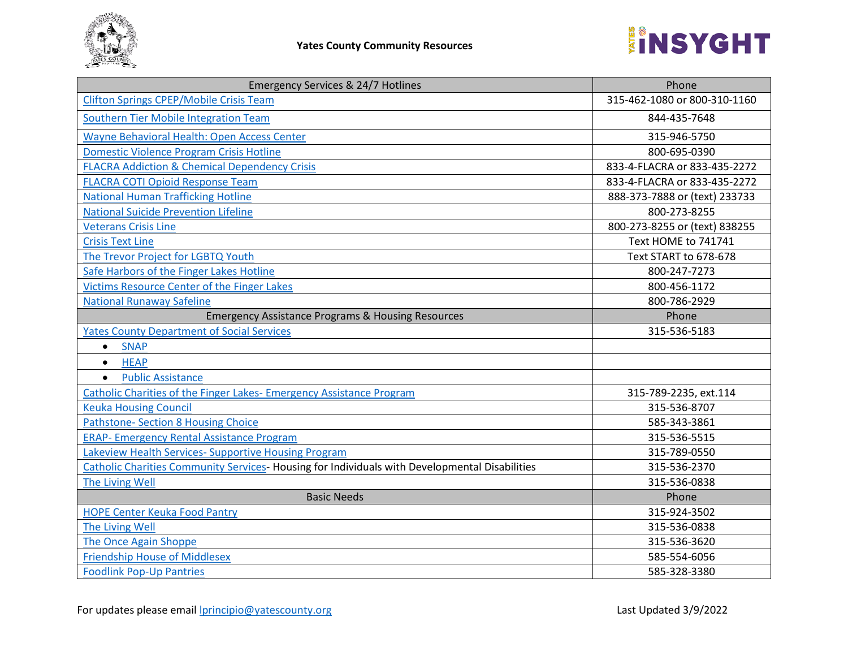

| <b>Emergency Services &amp; 24/7 Hotlines</b>                                                  | Phone                         |
|------------------------------------------------------------------------------------------------|-------------------------------|
| <b>Clifton Springs CPEP/Mobile Crisis Team</b>                                                 | 315-462-1080 or 800-310-1160  |
| Southern Tier Mobile Integration Team                                                          | 844-435-7648                  |
| Wayne Behavioral Health: Open Access Center                                                    | 315-946-5750                  |
| <b>Domestic Violence Program Crisis Hotline</b>                                                | 800-695-0390                  |
| <b>FLACRA Addiction &amp; Chemical Dependency Crisis</b>                                       | 833-4-FLACRA or 833-435-2272  |
| <b>FLACRA COTI Opioid Response Team</b>                                                        | 833-4-FLACRA or 833-435-2272  |
| <b>National Human Trafficking Hotline</b>                                                      | 888-373-7888 or (text) 233733 |
| <b>National Suicide Prevention Lifeline</b>                                                    | 800-273-8255                  |
| <b>Veterans Crisis Line</b>                                                                    | 800-273-8255 or (text) 838255 |
| <b>Crisis Text Line</b>                                                                        | Text HOME to 741741           |
| The Trevor Project for LGBTQ Youth                                                             | Text START to 678-678         |
| Safe Harbors of the Finger Lakes Hotline                                                       | 800-247-7273                  |
| Victims Resource Center of the Finger Lakes                                                    | 800-456-1172                  |
| <b>National Runaway Safeline</b>                                                               | 800-786-2929                  |
| <b>Emergency Assistance Programs &amp; Housing Resources</b>                                   | Phone                         |
| <b>Yates County Department of Social Services</b>                                              | 315-536-5183                  |
| <b>SNAP</b><br>$\bullet$                                                                       |                               |
| <b>HEAP</b><br>$\bullet$                                                                       |                               |
| <b>Public Assistance</b><br>$\bullet$                                                          |                               |
| <b>Catholic Charities of the Finger Lakes- Emergency Assistance Program</b>                    | 315-789-2235, ext.114         |
| <b>Keuka Housing Council</b>                                                                   | 315-536-8707                  |
| Pathstone- Section 8 Housing Choice                                                            | 585-343-3861                  |
| <b>ERAP- Emergency Rental Assistance Program</b>                                               | 315-536-5515                  |
| Lakeview Health Services- Supportive Housing Program                                           | 315-789-0550                  |
| Catholic Charities Community Services- Housing for Individuals with Developmental Disabilities | 315-536-2370                  |
| The Living Well                                                                                | 315-536-0838                  |
| <b>Basic Needs</b>                                                                             | Phone                         |
| <b>HOPE Center Keuka Food Pantry</b>                                                           | 315-924-3502                  |
| The Living Well                                                                                | 315-536-0838                  |
| The Once Again Shoppe                                                                          | 315-536-3620                  |
| <b>Friendship House of Middlesex</b>                                                           | 585-554-6056                  |
| <b>Foodlink Pop-Up Pantries</b>                                                                | 585-328-3380                  |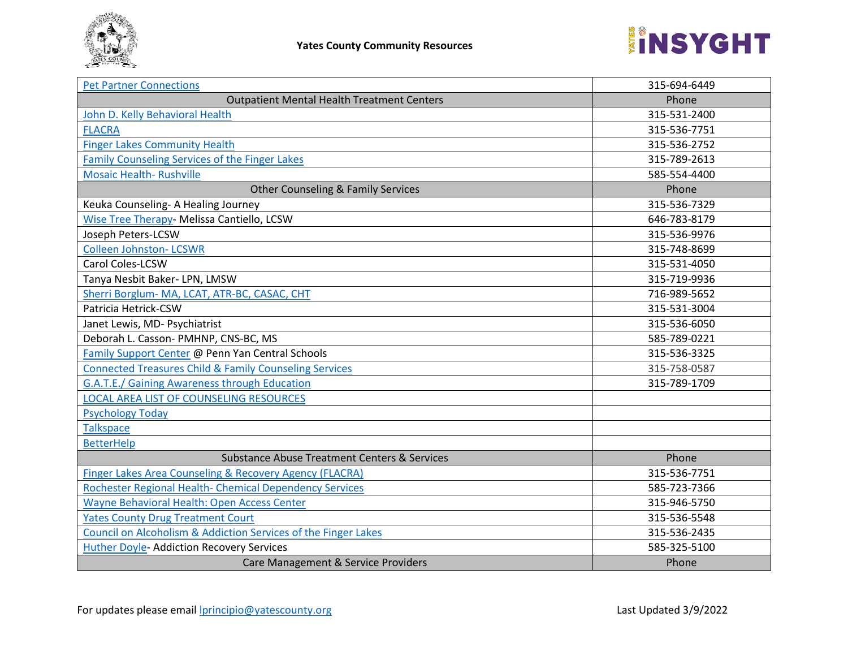

| <b>Pet Partner Connections</b>                                    | 315-694-6449 |
|-------------------------------------------------------------------|--------------|
| <b>Outpatient Mental Health Treatment Centers</b>                 | Phone        |
| John D. Kelly Behavioral Health                                   | 315-531-2400 |
| <b>FLACRA</b>                                                     | 315-536-7751 |
| <b>Finger Lakes Community Health</b>                              | 315-536-2752 |
| Family Counseling Services of the Finger Lakes                    | 315-789-2613 |
| <b>Mosaic Health- Rushville</b>                                   | 585-554-4400 |
| <b>Other Counseling &amp; Family Services</b>                     | Phone        |
| Keuka Counseling- A Healing Journey                               | 315-536-7329 |
| Wise Tree Therapy- Melissa Cantiello, LCSW                        | 646-783-8179 |
| Joseph Peters-LCSW                                                | 315-536-9976 |
| <b>Colleen Johnston- LCSWR</b>                                    | 315-748-8699 |
| Carol Coles-LCSW                                                  | 315-531-4050 |
| Tanya Nesbit Baker- LPN, LMSW                                     | 315-719-9936 |
| Sherri Borglum- MA, LCAT, ATR-BC, CASAC, CHT                      | 716-989-5652 |
| Patricia Hetrick-CSW                                              | 315-531-3004 |
| Janet Lewis, MD- Psychiatrist                                     | 315-536-6050 |
| Deborah L. Casson- PMHNP, CNS-BC, MS                              | 585-789-0221 |
| Family Support Center @ Penn Yan Central Schools                  | 315-536-3325 |
| <b>Connected Treasures Child &amp; Family Counseling Services</b> | 315-758-0587 |
| G.A.T.E./ Gaining Awareness through Education                     | 315-789-1709 |
| <b>LOCAL AREA LIST OF COUNSELING RESOURCES</b>                    |              |
| <b>Psychology Today</b>                                           |              |
| <b>Talkspace</b>                                                  |              |
| <b>BetterHelp</b>                                                 |              |
| <b>Substance Abuse Treatment Centers &amp; Services</b>           | Phone        |
| Finger Lakes Area Counseling & Recovery Agency (FLACRA)           | 315-536-7751 |
| Rochester Regional Health- Chemical Dependency Services           | 585-723-7366 |
| Wayne Behavioral Health: Open Access Center                       | 315-946-5750 |
| <b>Yates County Drug Treatment Court</b>                          | 315-536-5548 |
| Council on Alcoholism & Addiction Services of the Finger Lakes    | 315-536-2435 |
| <b>Huther Doyle- Addiction Recovery Services</b>                  | 585-325-5100 |
| Care Management & Service Providers                               | Phone        |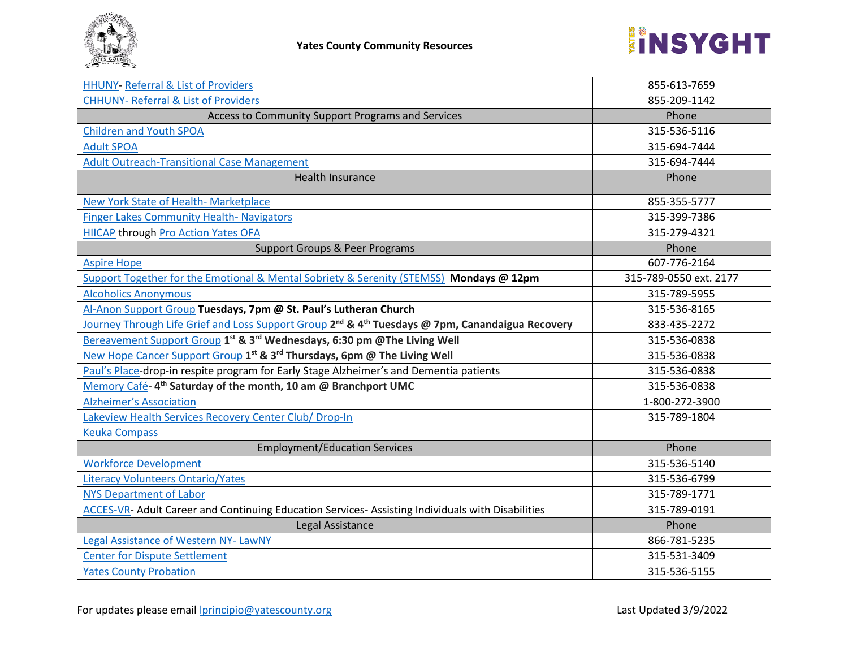

| <b>HHUNY- Referral &amp; List of Providers</b>                                                                           | 855-613-7659           |
|--------------------------------------------------------------------------------------------------------------------------|------------------------|
| <b>CHHUNY- Referral &amp; List of Providers</b>                                                                          | 855-209-1142           |
| Access to Community Support Programs and Services                                                                        | Phone                  |
| <b>Children and Youth SPOA</b>                                                                                           | 315-536-5116           |
| <b>Adult SPOA</b>                                                                                                        | 315-694-7444           |
| <b>Adult Outreach-Transitional Case Management</b>                                                                       | 315-694-7444           |
| <b>Health Insurance</b>                                                                                                  | Phone                  |
| New York State of Health- Marketplace                                                                                    | 855-355-5777           |
| <b>Finger Lakes Community Health- Navigators</b>                                                                         | 315-399-7386           |
| <b>HIICAP through Pro Action Yates OFA</b>                                                                               | 315-279-4321           |
| <b>Support Groups &amp; Peer Programs</b>                                                                                | Phone                  |
| <b>Aspire Hope</b>                                                                                                       | 607-776-2164           |
| Support Together for the Emotional & Mental Sobriety & Serenity (STEMSS) Mondays @ 12pm                                  | 315-789-0550 ext. 2177 |
| <b>Alcoholics Anonymous</b>                                                                                              | 315-789-5955           |
| Al-Anon Support Group Tuesdays, 7pm @ St. Paul's Lutheran Church                                                         | 315-536-8165           |
| Journey Through Life Grief and Loss Support Group 2 <sup>nd</sup> & 4 <sup>th</sup> Tuesdays @ 7pm, Canandaigua Recovery | 833-435-2272           |
| Bereavement Support Group 1 <sup>st</sup> & 3 <sup>rd</sup> Wednesdays, 6:30 pm @The Living Well                         | 315-536-0838           |
| New Hope Cancer Support Group 1st & 3rd Thursdays, 6pm @ The Living Well                                                 | 315-536-0838           |
| Paul's Place-drop-in respite program for Early Stage Alzheimer's and Dementia patients                                   | 315-536-0838           |
| Memory Café-4 <sup>th</sup> Saturday of the month, 10 am @ Branchport UMC                                                | 315-536-0838           |
| <b>Alzheimer's Association</b>                                                                                           | 1-800-272-3900         |
| Lakeview Health Services Recovery Center Club/ Drop-In                                                                   | 315-789-1804           |
| <b>Keuka Compass</b>                                                                                                     |                        |
| <b>Employment/Education Services</b>                                                                                     | Phone                  |
| <b>Workforce Development</b>                                                                                             | 315-536-5140           |
| <b>Literacy Volunteers Ontario/Yates</b>                                                                                 | 315-536-6799           |
| <b>NYS Department of Labor</b>                                                                                           | 315-789-1771           |
| <b>ACCES-VR-</b> Adult Career and Continuing Education Services- Assisting Individuals with Disabilities                 | 315-789-0191           |
| Legal Assistance                                                                                                         | Phone                  |
| Legal Assistance of Western NY-LawNY                                                                                     | 866-781-5235           |
| <b>Center for Dispute Settlement</b>                                                                                     | 315-531-3409           |
| <b>Yates County Probation</b>                                                                                            | 315-536-5155           |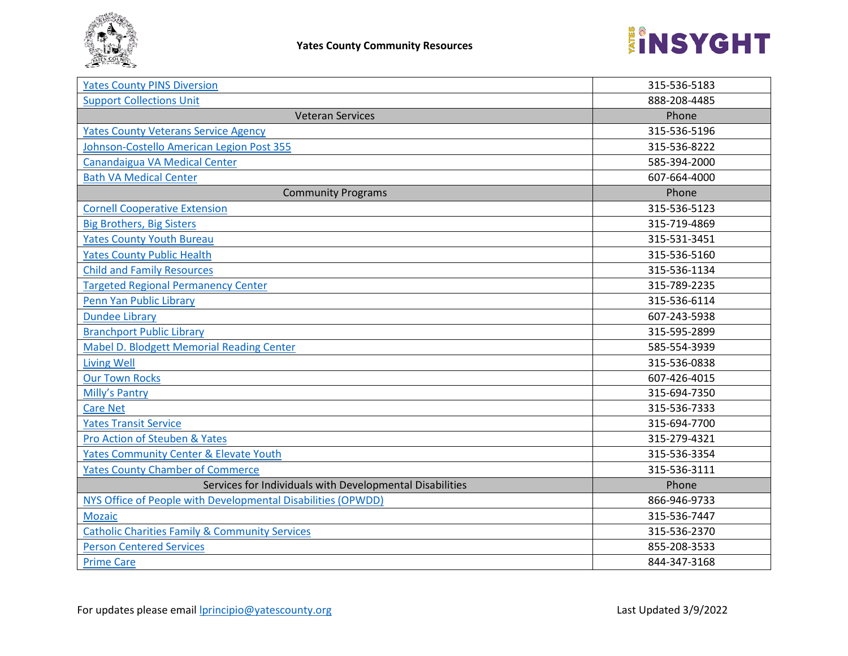

| <b>Yates County PINS Diversion</b>                           | 315-536-5183 |
|--------------------------------------------------------------|--------------|
| <b>Support Collections Unit</b>                              | 888-208-4485 |
| <b>Veteran Services</b>                                      | Phone        |
| <b>Yates County Veterans Service Agency</b>                  | 315-536-5196 |
| Johnson-Costello American Legion Post 355                    | 315-536-8222 |
| Canandaigua VA Medical Center                                | 585-394-2000 |
| <b>Bath VA Medical Center</b>                                | 607-664-4000 |
| <b>Community Programs</b>                                    | Phone        |
| <b>Cornell Cooperative Extension</b>                         | 315-536-5123 |
| <b>Big Brothers, Big Sisters</b>                             | 315-719-4869 |
| <b>Yates County Youth Bureau</b>                             | 315-531-3451 |
| <b>Yates County Public Health</b>                            | 315-536-5160 |
| <b>Child and Family Resources</b>                            | 315-536-1134 |
| <b>Targeted Regional Permanency Center</b>                   | 315-789-2235 |
| Penn Yan Public Library                                      | 315-536-6114 |
| <b>Dundee Library</b>                                        | 607-243-5938 |
| <b>Branchport Public Library</b>                             | 315-595-2899 |
| Mabel D. Blodgett Memorial Reading Center                    | 585-554-3939 |
| <b>Living Well</b>                                           | 315-536-0838 |
| <b>Our Town Rocks</b>                                        | 607-426-4015 |
| <b>Milly's Pantry</b>                                        | 315-694-7350 |
| <b>Care Net</b>                                              | 315-536-7333 |
| <b>Yates Transit Service</b>                                 | 315-694-7700 |
| Pro Action of Steuben & Yates                                | 315-279-4321 |
| <b>Yates Community Center &amp; Elevate Youth</b>            | 315-536-3354 |
| <b>Yates County Chamber of Commerce</b>                      | 315-536-3111 |
| Services for Individuals with Developmental Disabilities     | Phone        |
| NYS Office of People with Developmental Disabilities (OPWDD) | 866-946-9733 |
| <b>Mozaic</b>                                                | 315-536-7447 |
| <b>Catholic Charities Family &amp; Community Services</b>    | 315-536-2370 |
| <b>Person Centered Services</b>                              | 855-208-3533 |
| <b>Prime Care</b>                                            | 844-347-3168 |